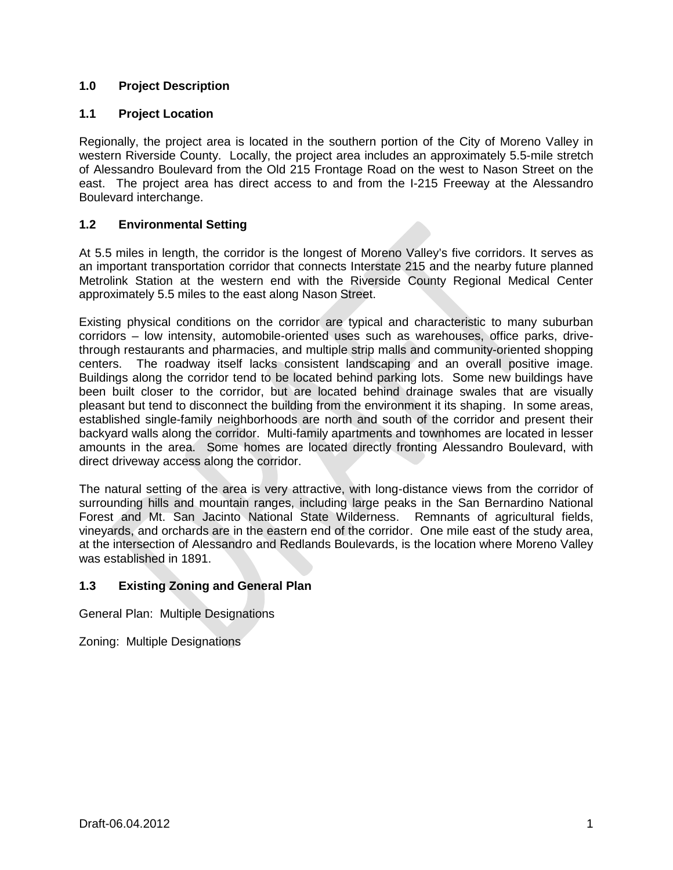# **1.0 Project Description**

## **1.1 Project Location**

Regionally, the project area is located in the southern portion of the City of Moreno Valley in western Riverside County. Locally, the project area includes an approximately 5.5-mile stretch of Alessandro Boulevard from the Old 215 Frontage Road on the west to Nason Street on the east. The project area has direct access to and from the I-215 Freeway at the Alessandro Boulevard interchange.

# **1.2 Environmental Setting**

At 5.5 miles in length, the corridor is the longest of Moreno Valley's five corridors. It serves as an important transportation corridor that connects Interstate 215 and the nearby future planned Metrolink Station at the western end with the Riverside County Regional Medical Center approximately 5.5 miles to the east along Nason Street.

Existing physical conditions on the corridor are typical and characteristic to many suburban corridors – low intensity, automobile-oriented uses such as warehouses, office parks, drivethrough restaurants and pharmacies, and multiple strip malls and community-oriented shopping centers. The roadway itself lacks consistent landscaping and an overall positive image. Buildings along the corridor tend to be located behind parking lots. Some new buildings have been built closer to the corridor, but are located behind drainage swales that are visually pleasant but tend to disconnect the building from the environment it its shaping. In some areas, established single-family neighborhoods are north and south of the corridor and present their backyard walls along the corridor. Multi-family apartments and townhomes are located in lesser amounts in the area. Some homes are located directly fronting Alessandro Boulevard, with direct driveway access along the corridor.

The natural setting of the area is very attractive, with long-distance views from the corridor of surrounding hills and mountain ranges, including large peaks in the San Bernardino National Forest and Mt. San Jacinto National State Wilderness. Remnants of agricultural fields, vineyards, and orchards are in the eastern end of the corridor. One mile east of the study area, at the intersection of Alessandro and Redlands Boulevards, is the location where Moreno Valley was established in 1891.

# **1.3 Existing Zoning and General Plan**

General Plan: Multiple Designations

Zoning: Multiple Designations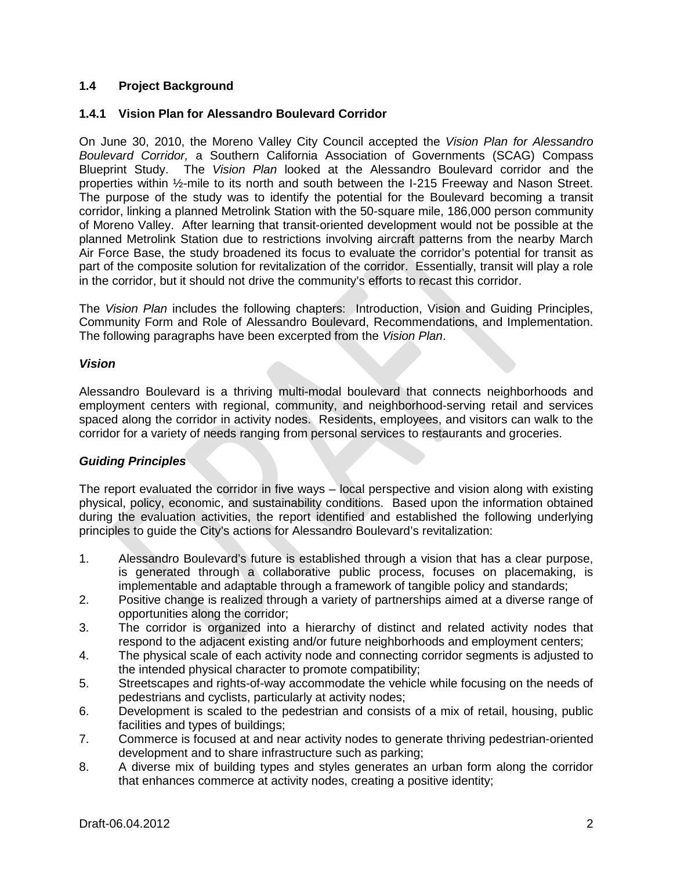# **1.4 Project Background**

### **1.4.1 Vision Plan for Alessandro Boulevard Corridor**

On June 30, 2010, the Moreno Valley City Council accepted the *Vision Plan for Alessandro Boulevard Corridor,* a Southern California Association of Governments (SCAG) Compass Blueprint Study. The *Vision Plan* looked at the Alessandro Boulevard corridor and the properties within ½-mile to its north and south between the I-215 Freeway and Nason Street. The purpose of the study was to identify the potential for the Boulevard becoming a transit corridor, linking a planned Metrolink Station with the 50-square mile, 186,000 person community of Moreno Valley. After learning that transit-oriented development would not be possible at the planned Metrolink Station due to restrictions involving aircraft patterns from the nearby March Air Force Base, the study broadened its focus to evaluate the corridor's potential for transit as part of the composite solution for revitalization of the corridor. Essentially, transit will play a role in the corridor, but it should not drive the community's efforts to recast this corridor.

The *Vision Plan* includes the following chapters: Introduction, Vision and Guiding Principles, Community Form and Role of Alessandro Boulevard, Recommendations, and Implementation. The following paragraphs have been excerpted from the *Vision Plan*.

#### *Vision*

Alessandro Boulevard is a thriving multi-modal boulevard that connects neighborhoods and employment centers with regional, community, and neighborhood-serving retail and services spaced along the corridor in activity nodes. Residents, employees, and visitors can walk to the corridor for a variety of needs ranging from personal services to restaurants and groceries.

## *Guiding Principles*

The report evaluated the corridor in five ways – local perspective and vision along with existing physical, policy, economic, and sustainability conditions. Based upon the information obtained during the evaluation activities, the report identified and established the following underlying principles to guide the City's actions for Alessandro Boulevard's revitalization:

- 1. Alessandro Boulevard's future is established through a vision that has a clear purpose, is generated through a collaborative public process, focuses on placemaking, is implementable and adaptable through a framework of tangible policy and standards;
- 2. Positive change is realized through a variety of partnerships aimed at a diverse range of opportunities along the corridor;
- 3. The corridor is organized into a hierarchy of distinct and related activity nodes that respond to the adjacent existing and/or future neighborhoods and employment centers;
- 4. The physical scale of each activity node and connecting corridor segments is adjusted to the intended physical character to promote compatibility;
- 5. Streetscapes and rights-of-way accommodate the vehicle while focusing on the needs of pedestrians and cyclists, particularly at activity nodes;
- 6. Development is scaled to the pedestrian and consists of a mix of retail, housing, public facilities and types of buildings;
- 7. Commerce is focused at and near activity nodes to generate thriving pedestrian-oriented development and to share infrastructure such as parking;
- 8. A diverse mix of building types and styles generates an urban form along the corridor that enhances commerce at activity nodes, creating a positive identity;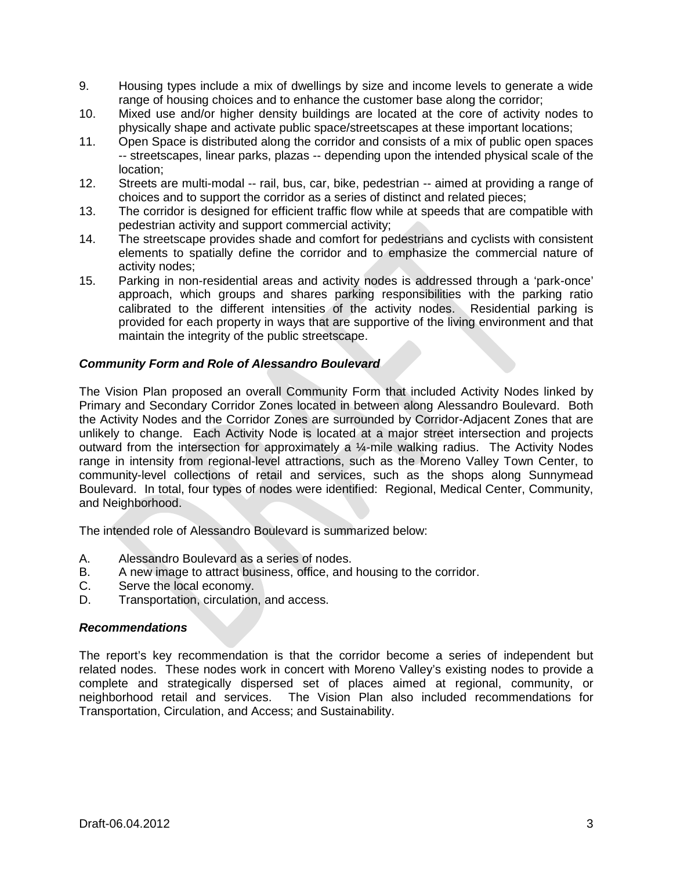- 9. Housing types include a mix of dwellings by size and income levels to generate a wide range of housing choices and to enhance the customer base along the corridor;
- 10. Mixed use and/or higher density buildings are located at the core of activity nodes to physically shape and activate public space/streetscapes at these important locations;
- 11. Open Space is distributed along the corridor and consists of a mix of public open spaces -- streetscapes, linear parks, plazas -- depending upon the intended physical scale of the location;
- 12. Streets are multi-modal -- rail, bus, car, bike, pedestrian -- aimed at providing a range of choices and to support the corridor as a series of distinct and related pieces;
- 13. The corridor is designed for efficient traffic flow while at speeds that are compatible with pedestrian activity and support commercial activity;
- 14. The streetscape provides shade and comfort for pedestrians and cyclists with consistent elements to spatially define the corridor and to emphasize the commercial nature of activity nodes;
- 15. Parking in non-residential areas and activity nodes is addressed through a 'park-once' approach, which groups and shares parking responsibilities with the parking ratio calibrated to the different intensities of the activity nodes. Residential parking is provided for each property in ways that are supportive of the living environment and that maintain the integrity of the public streetscape.

## *Community Form and Role of Alessandro Boulevard*

The Vision Plan proposed an overall Community Form that included Activity Nodes linked by Primary and Secondary Corridor Zones located in between along Alessandro Boulevard. Both the Activity Nodes and the Corridor Zones are surrounded by Corridor-Adjacent Zones that are unlikely to change. Each Activity Node is located at a major street intersection and projects outward from the intersection for approximately a ¼-mile walking radius. The Activity Nodes range in intensity from regional-level attractions, such as the Moreno Valley Town Center, to community-level collections of retail and services, such as the shops along Sunnymead Boulevard. In total, four types of nodes were identified: Regional, Medical Center, Community, and Neighborhood.

The intended role of Alessandro Boulevard is summarized below:

- A. Alessandro Boulevard as a series of nodes.
- B. A new image to attract business, office, and housing to the corridor.
- C. Serve the local economy.<br>D. Transportation circulation
- Transportation, circulation, and access.

#### *Recommendations*

The report's key recommendation is that the corridor become a series of independent but related nodes. These nodes work in concert with Moreno Valley's existing nodes to provide a complete and strategically dispersed set of places aimed at regional, community, or The Vision Plan also included recommendations for Transportation, Circulation, and Access; and Sustainability.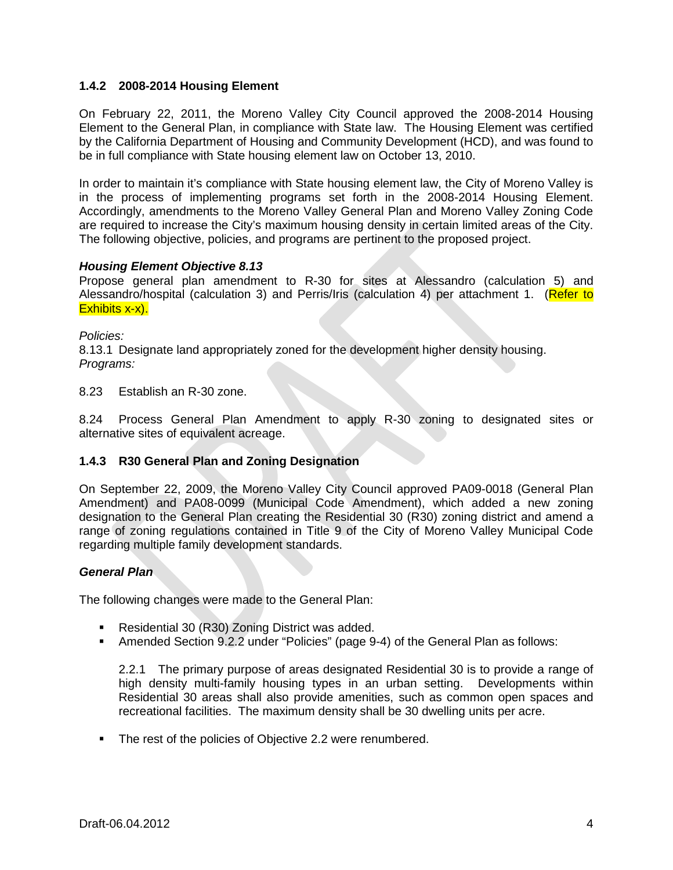# **1.4.2 2008-2014 Housing Element**

On February 22, 2011, the Moreno Valley City Council approved the 2008-2014 Housing Element to the General Plan, in compliance with State law. The Housing Element was certified by the California Department of Housing and Community Development (HCD), and was found to be in full compliance with State housing element law on October 13, 2010.

In order to maintain it's compliance with State housing element law, the City of Moreno Valley is in the process of implementing programs set forth in the 2008-2014 Housing Element. Accordingly, amendments to the Moreno Valley General Plan and Moreno Valley Zoning Code are required to increase the City's maximum housing density in certain limited areas of the City. The following objective, policies, and programs are pertinent to the proposed project.

## *Housing Element Objective 8.13*

Propose general plan amendment to R-30 for sites at Alessandro (calculation 5) and Alessandro/hospital (calculation 3) and Perris/Iris (calculation 4) per attachment 1. (Refer to Exhibits x-x).

### *Policies:*

8.13.1 Designate land appropriately zoned for the development higher density housing. *Programs:*

8.23 Establish an R-30 zone.

8.24 Process General Plan Amendment to apply R-30 zoning to designated sites or alternative sites of equivalent acreage.

## **1.4.3 R30 General Plan and Zoning Designation**

On September 22, 2009, the Moreno Valley City Council approved PA09-0018 (General Plan Amendment) and PA08-0099 (Municipal Code Amendment), which added a new zoning designation to the General Plan creating the Residential 30 (R30) zoning district and amend a range of zoning regulations contained in Title 9 of the City of Moreno Valley Municipal Code regarding multiple family development standards.

## *General Plan*

The following changes were made to the General Plan:

- Residential 30 (R30) Zoning District was added.
- Amended Section 9.2.2 under "Policies" (page 9-4) of the General Plan as follows:

2.2.1 The primary purpose of areas designated Residential 30 is to provide a range of high density multi-family housing types in an urban setting. Developments within Residential 30 areas shall also provide amenities, such as common open spaces and recreational facilities. The maximum density shall be 30 dwelling units per acre.

The rest of the policies of Objective 2.2 were renumbered.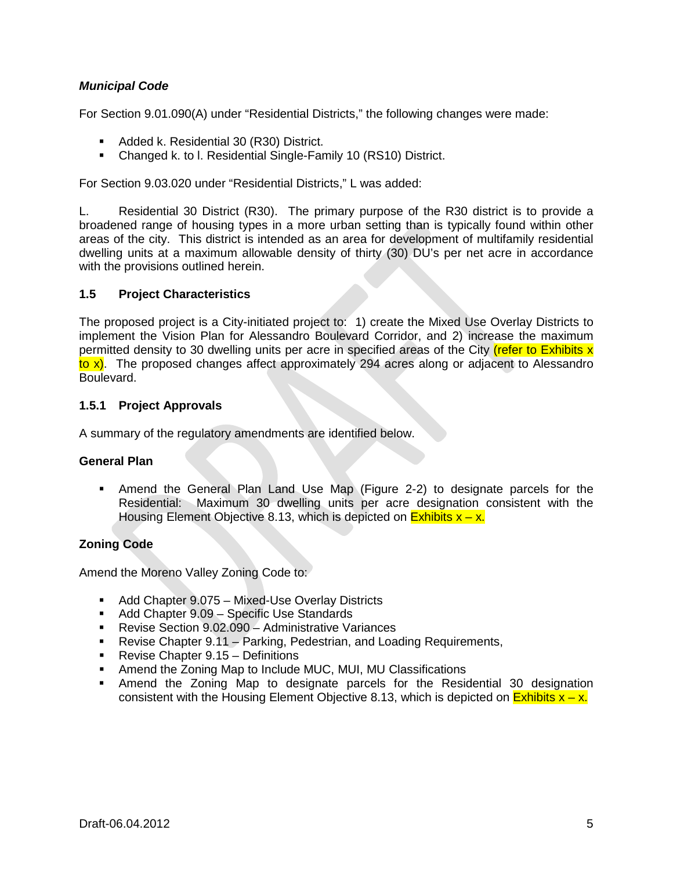# *Municipal Code*

For Section 9.01.090(A) under "Residential Districts," the following changes were made:

- **Added k. Residential 30 (R30) District.**
- Changed k. to l. Residential Single-Family 10 (RS10) District.

For Section 9.03.020 under "Residential Districts," L was added:

L. Residential 30 District (R30). The primary purpose of the R30 district is to provide a broadened range of housing types in a more urban setting than is typically found within other areas of the city. This district is intended as an area for development of multifamily residential dwelling units at a maximum allowable density of thirty (30) DU's per net acre in accordance with the provisions outlined herein.

### **1.5 Project Characteristics**

The proposed project is a City-initiated project to: 1) create the Mixed Use Overlay Districts to implement the Vision Plan for Alessandro Boulevard Corridor, and 2) increase the maximum permitted density to 30 dwelling units per acre in specified areas of the City (refer to Exhibits x to x). The proposed changes affect approximately 294 acres along or adjacent to Alessandro **Boulevard.** 

### **1.5.1 Project Approvals**

A summary of the regulatory amendments are identified below.

#### **General Plan**

 Amend the General Plan Land Use Map (Figure 2-2) to designate parcels for the Residential: Maximum 30 dwelling units per acre designation consistent with the Housing Element Objective 8.13, which is depicted on  $Ex$ hibits  $x - x$ .

## **Zoning Code**

Amend the Moreno Valley Zoning Code to:

- Add Chapter 9.075 Mixed-Use Overlay Districts
- Add Chapter 9.09 Specific Use Standards
- Revise Section 9.02.090 Administrative Variances
- Revise Chapter 9.11 Parking, Pedestrian, and Loading Requirements,
- **Revise Chapter 9.15 Definitions**
- **Amend the Zoning Map to Include MUC, MUI, MU Classifications**
- Amend the Zoning Map to designate parcels for the Residential 30 designation consistent with the Housing Element Objective 8.13, which is depicted on  $\frac{\text{Exhibits}}{x - x}$ .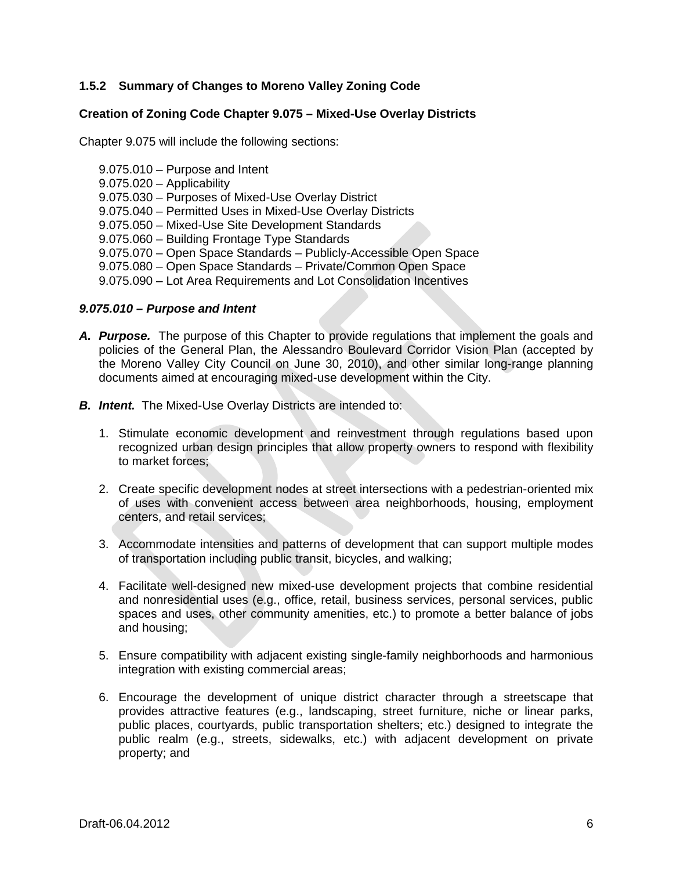# **1.5.2 Summary of Changes to Moreno Valley Zoning Code**

#### **Creation of Zoning Code Chapter 9.075 – Mixed-Use Overlay Districts**

Chapter 9.075 will include the following sections:

- 9.075.010 Purpose and Intent
- 9.075.020 Applicability
- 9.075.030 Purposes of Mixed-Use Overlay District
- 9.075.040 Permitted Uses in Mixed-Use Overlay Districts
- 9.075.050 Mixed-Use Site Development Standards
- 9.075.060 Building Frontage Type Standards
- 9.075.070 Open Space Standards Publicly-Accessible Open Space
- 9.075.080 Open Space Standards Private/Common Open Space
- 9.075.090 Lot Area Requirements and Lot Consolidation Incentives

#### *9.075.010 – Purpose and Intent*

- *A. Purpose.* The purpose of this Chapter to provide regulations that implement the goals and policies of the General Plan, the Alessandro Boulevard Corridor Vision Plan (accepted by the Moreno Valley City Council on June 30, 2010), and other similar long-range planning documents aimed at encouraging mixed-use development within the City.
- *B. Intent.* The Mixed-Use Overlay Districts are intended to:
	- 1. Stimulate economic development and reinvestment through regulations based upon recognized urban design principles that allow property owners to respond with flexibility to market forces;
	- 2. Create specific development nodes at street intersections with a pedestrian-oriented mix of uses with convenient access between area neighborhoods, housing, employment centers, and retail services;
	- 3. Accommodate intensities and patterns of development that can support multiple modes of transportation including public transit, bicycles, and walking;
	- 4. Facilitate well-designed new mixed-use development projects that combine residential and nonresidential uses (e.g., office, retail, business services, personal services, public spaces and uses, other community amenities, etc.) to promote a better balance of jobs and housing;
	- 5. Ensure compatibility with adjacent existing single-family neighborhoods and harmonious integration with existing commercial areas;
	- 6. Encourage the development of unique district character through a streetscape that provides attractive features (e.g., landscaping, street furniture, niche or linear parks, public places, courtyards, public transportation shelters; etc.) designed to integrate the public realm (e.g., streets, sidewalks, etc.) with adjacent development on private property; and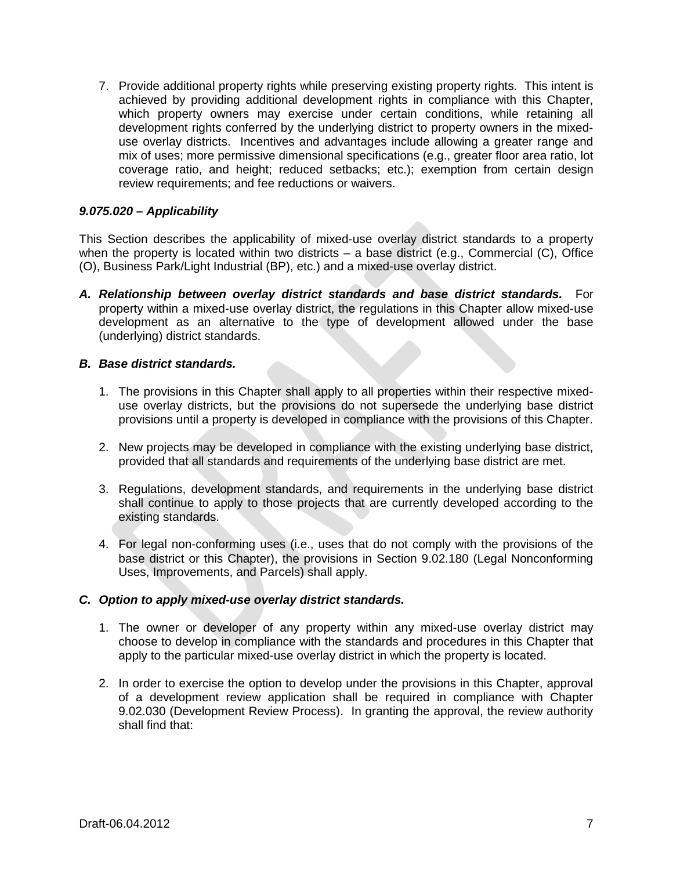7. Provide additional property rights while preserving existing property rights. This intent is achieved by providing additional development rights in compliance with this Chapter, which property owners may exercise under certain conditions, while retaining all development rights conferred by the underlying district to property owners in the mixeduse overlay districts. Incentives and advantages include allowing a greater range and mix of uses; more permissive dimensional specifications (e.g., greater floor area ratio, lot coverage ratio, and height; reduced setbacks; etc.); exemption from certain design review requirements; and fee reductions or waivers.

### *9.075.020 – Applicability*

This Section describes the applicability of mixed-use overlay district standards to a property when the property is located within two districts – a base district (e.g., Commercial (C), Office (O), Business Park/Light Industrial (BP), etc.) and a mixed-use overlay district.

*A. Relationship between overlay district standards and base district standards.* For property within a mixed-use overlay district, the regulations in this Chapter allow mixed-use development as an alternative to the type of development allowed under the base (underlying) district standards.

#### *B. Base district standards.*

- 1. The provisions in this Chapter shall apply to all properties within their respective mixeduse overlay districts, but the provisions do not supersede the underlying base district provisions until a property is developed in compliance with the provisions of this Chapter.
- 2. New projects may be developed in compliance with the existing underlying base district, provided that all standards and requirements of the underlying base district are met.
- 3. Regulations, development standards, and requirements in the underlying base district shall continue to apply to those projects that are currently developed according to the existing standards.
- 4. For legal non-conforming uses (i.e., uses that do not comply with the provisions of the base district or this Chapter), the provisions in Section 9.02.180 (Legal Nonconforming Uses, Improvements, and Parcels) shall apply.

### *C. Option to apply mixed-use overlay district standards.*

- 1. The owner or developer of any property within any mixed-use overlay district may choose to develop in compliance with the standards and procedures in this Chapter that apply to the particular mixed-use overlay district in which the property is located.
- 2. In order to exercise the option to develop under the provisions in this Chapter, approval of a development review application shall be required in compliance with Chapter 9.02.030 (Development Review Process). In granting the approval, the review authority shall find that: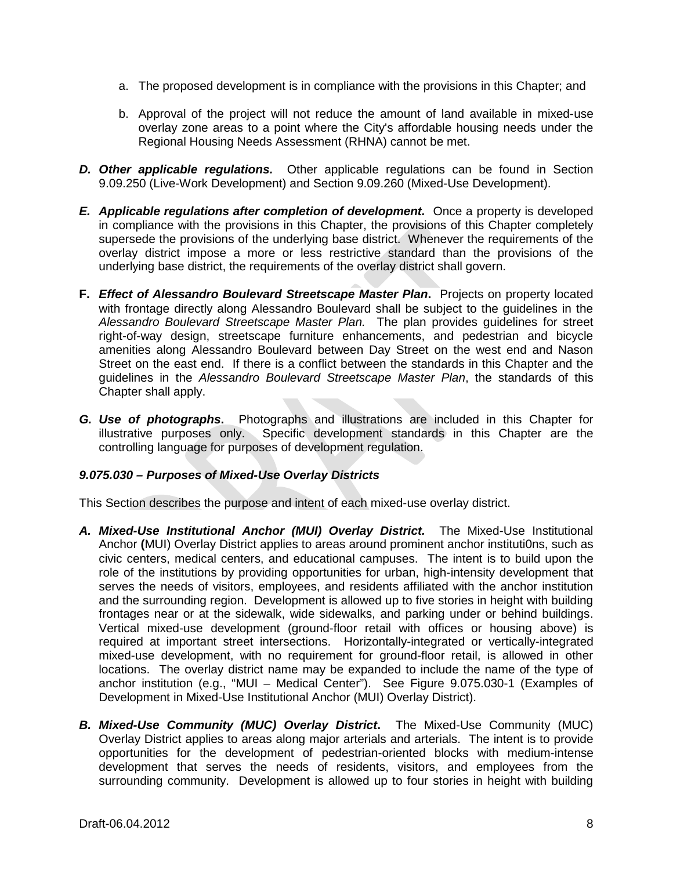- a. The proposed development is in compliance with the provisions in this Chapter; and
- b. Approval of the project will not reduce the amount of land available in mixed-use overlay zone areas to a point where the City's affordable housing needs under the Regional Housing Needs Assessment (RHNA) cannot be met.
- *D. Other applicable regulations.* Other applicable regulations can be found in Section 9.09.250 (Live-Work Development) and Section 9.09.260 (Mixed-Use Development).
- *E. Applicable regulations after completion of development.* Once a property is developed in compliance with the provisions in this Chapter, the provisions of this Chapter completely supersede the provisions of the underlying base district. Whenever the requirements of the overlay district impose a more or less restrictive standard than the provisions of the underlying base district, the requirements of the overlay district shall govern.
- **F.** *Effect of Alessandro Boulevard Streetscape Master Plan***.** Projects on property located with frontage directly along Alessandro Boulevard shall be subject to the guidelines in the *Alessandro Boulevard Streetscape Master Plan.* The plan provides guidelines for street right-of-way design, streetscape furniture enhancements, and pedestrian and bicycle amenities along Alessandro Boulevard between Day Street on the west end and Nason Street on the east end. If there is a conflict between the standards in this Chapter and the guidelines in the *Alessandro Boulevard Streetscape Master Plan*, the standards of this Chapter shall apply.
- *G. Use of photographs***.** Photographs and illustrations are included in this Chapter for illustrative purposes only. Specific development standards in this Chapter are the controlling language for purposes of development regulation.

## *9.075.030 – Purposes of Mixed-Use Overlay Districts*

This Section describes the purpose and intent of each mixed-use overlay district.

- *A. Mixed-Use Institutional Anchor (MUI) Overlay District.*The Mixed-Use Institutional Anchor **(**MUI) Overlay District applies to areas around prominent anchor instituti0ns, such as civic centers, medical centers, and educational campuses. The intent is to build upon the role of the institutions by providing opportunities for urban, high-intensity development that serves the needs of visitors, employees, and residents affiliated with the anchor institution and the surrounding region. Development is allowed up to five stories in height with building frontages near or at the sidewalk, wide sidewalks, and parking under or behind buildings. Vertical mixed-use development (ground-floor retail with offices or housing above) is required at important street intersections. Horizontally-integrated or vertically-integrated mixed-use development, with no requirement for ground-floor retail, is allowed in other locations. The overlay district name may be expanded to include the name of the type of anchor institution (e.g., "MUI – Medical Center"). See Figure 9.075.030-1 (Examples of Development in Mixed-Use Institutional Anchor (MUI) Overlay District).
- *B. Mixed-Use Community (MUC) Overlay District***.** The Mixed-Use Community (MUC) Overlay District applies to areas along major arterials and arterials. The intent is to provide opportunities for the development of pedestrian-oriented blocks with medium-intense development that serves the needs of residents, visitors, and employees from the surrounding community. Development is allowed up to four stories in height with building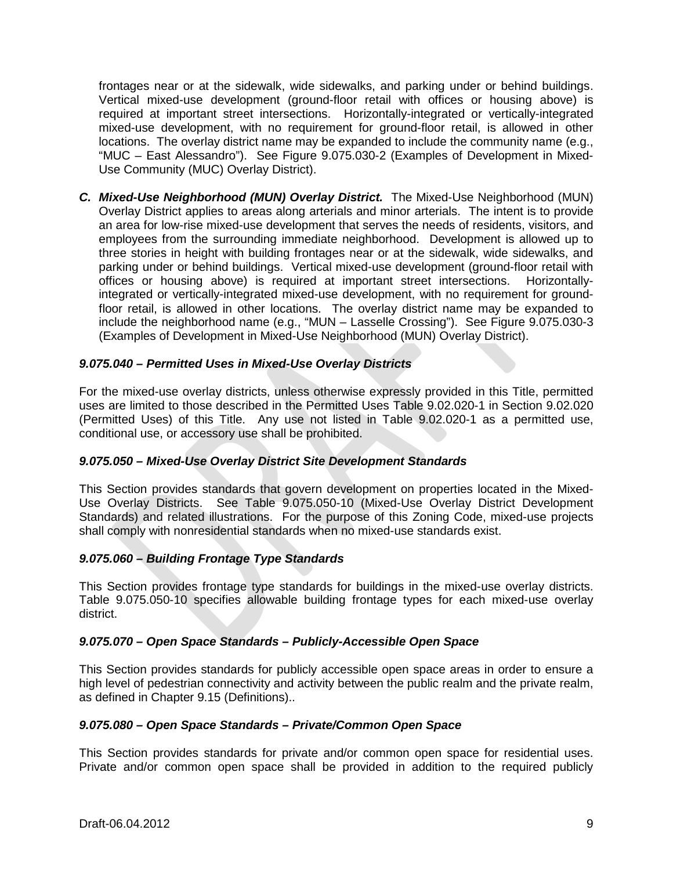frontages near or at the sidewalk, wide sidewalks, and parking under or behind buildings. Vertical mixed-use development (ground-floor retail with offices or housing above) is required at important street intersections. Horizontally-integrated or vertically-integrated mixed-use development, with no requirement for ground-floor retail, is allowed in other locations. The overlay district name may be expanded to include the community name (e.g., "MUC – East Alessandro"). See Figure 9.075.030-2 (Examples of Development in Mixed-Use Community (MUC) Overlay District).

*C. Mixed-Use Neighborhood (MUN) Overlay District.* The Mixed-Use Neighborhood (MUN) Overlay District applies to areas along arterials and minor arterials. The intent is to provide an area for low-rise mixed-use development that serves the needs of residents, visitors, and employees from the surrounding immediate neighborhood. Development is allowed up to three stories in height with building frontages near or at the sidewalk, wide sidewalks, and parking under or behind buildings. Vertical mixed-use development (ground-floor retail with offices or housing above) is required at important street intersections. Horizontallyintegrated or vertically-integrated mixed-use development, with no requirement for groundfloor retail, is allowed in other locations. The overlay district name may be expanded to include the neighborhood name (e.g., "MUN – Lasselle Crossing"). See Figure 9.075.030-3 (Examples of Development in Mixed-Use Neighborhood (MUN) Overlay District).

## *9.075.040 – Permitted Uses in Mixed-Use Overlay Districts*

For the mixed-use overlay districts, unless otherwise expressly provided in this Title, permitted uses are limited to those described in the Permitted Uses Table 9.02.020-1 in Section 9.02.020 (Permitted Uses) of this Title. Any use not listed in Table 9.02.020-1 as a permitted use, conditional use, or accessory use shall be prohibited.

## *9.075.050 – Mixed-Use Overlay District Site Development Standards*

This Section provides standards that govern development on properties located in the Mixed-Use Overlay Districts. See Table 9.075.050-10 (Mixed-Use Overlay District Development Standards) and related illustrations. For the purpose of this Zoning Code, mixed-use projects shall comply with nonresidential standards when no mixed-use standards exist.

## *9.075.060 – Building Frontage Type Standards*

This Section provides frontage type standards for buildings in the mixed-use overlay districts. Table 9.075.050-10 specifies allowable building frontage types for each mixed-use overlay district.

## *9.075.070 – Open Space Standards – Publicly-Accessible Open Space*

This Section provides standards for publicly accessible open space areas in order to ensure a high level of pedestrian connectivity and activity between the public realm and the private realm, as defined in Chapter 9.15 (Definitions)..

#### *9.075.080 – Open Space Standards – Private/Common Open Space*

This Section provides standards for private and/or common open space for residential uses. Private and/or common open space shall be provided in addition to the required publicly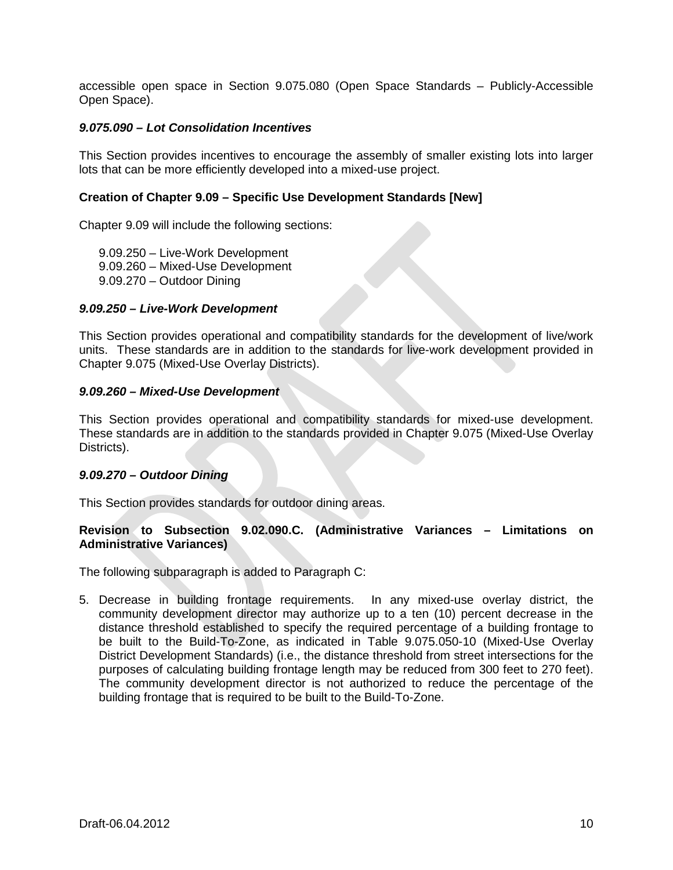accessible open space in Section 9.075.080 (Open Space Standards – Publicly-Accessible Open Space).

#### *9.075.090 – Lot Consolidation Incentives*

This Section provides incentives to encourage the assembly of smaller existing lots into larger lots that can be more efficiently developed into a mixed-use project.

### **Creation of Chapter 9.09 – Specific Use Development Standards [New]**

Chapter 9.09 will include the following sections:

9.09.250 – Live-Work Development 9.09.260 – Mixed-Use Development 9.09.270 – Outdoor Dining

#### *9.09.250 – Live-Work Development*

This Section provides operational and compatibility standards for the development of live/work units. These standards are in addition to the standards for live-work development provided in Chapter 9.075 (Mixed-Use Overlay Districts).

#### *9.09.260 – Mixed-Use Development*

This Section provides operational and compatibility standards for mixed-use development. These standards are in addition to the standards provided in Chapter 9.075 (Mixed-Use Overlay Districts).

#### *9.09.270 – Outdoor Dining*

This Section provides standards for outdoor dining areas.

# **Revision to Subsection 9.02.090.C. (Administrative Variances – Limitations on Administrative Variances)**

The following subparagraph is added to Paragraph C:

5. Decrease in building frontage requirements. In any mixed-use overlay district, the community development director may authorize up to a ten (10) percent decrease in the distance threshold established to specify the required percentage of a building frontage to be built to the Build-To-Zone, as indicated in Table 9.075.050-10 (Mixed-Use Overlay District Development Standards) (i.e., the distance threshold from street intersections for the purposes of calculating building frontage length may be reduced from 300 feet to 270 feet). The community development director is not authorized to reduce the percentage of the building frontage that is required to be built to the Build-To-Zone.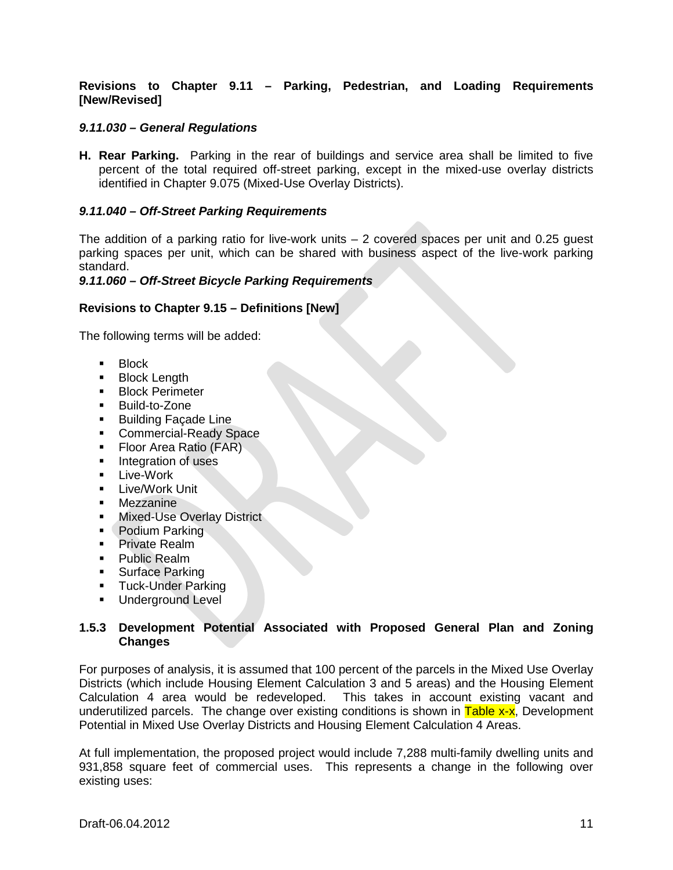## **Revisions to Chapter 9.11 – Parking, Pedestrian, and Loading Requirements [New/Revised]**

## *9.11.030 – General Regulations*

**H. Rear Parking.** Parking in the rear of buildings and service area shall be limited to five percent of the total required off-street parking, except in the mixed-use overlay districts identified in Chapter 9.075 (Mixed-Use Overlay Districts).

### *9.11.040 – Off-Street Parking Requirements*

The addition of a parking ratio for live-work units  $-2$  covered spaces per unit and 0.25 quest parking spaces per unit, which can be shared with business aspect of the live-work parking standard.

#### *9.11.060 – Off-Street Bicycle Parking Requirements*

### **Revisions to Chapter 9.15 – Definitions [New]**

The following terms will be added:

- **Block**
- **Block Length**
- **Block Perimeter**
- **Build-to-Zone**
- **Building Facade Line**
- **Commercial-Ready Space**
- Floor Area Ratio (FAR)
- **Integration of uses**
- **E** Live-Work
- **-** Live/Work Unit
- **Mezzanine**
- **Mixed-Use Overlay District**
- Podium Parking
- **Private Realm**
- **Public Realm**
- **Surface Parking**
- **Tuck-Under Parking**
- **Underground Level**

### **1.5.3 Development Potential Associated with Proposed General Plan and Zoning Changes**

For purposes of analysis, it is assumed that 100 percent of the parcels in the Mixed Use Overlay Districts (which include Housing Element Calculation 3 and 5 areas) and the Housing Element Calculation 4 area would be redeveloped. This takes in account existing vacant and underutilized parcels. The change over existing conditions is shown in  $Table x-x$ , Development Potential in Mixed Use Overlay Districts and Housing Element Calculation 4 Areas.

At full implementation, the proposed project would include 7,288 multi-family dwelling units and 931,858 square feet of commercial uses. This represents a change in the following over existing uses: